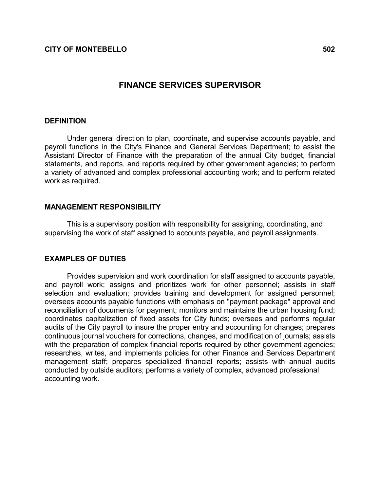# FINANCE SERVICES SUPERVISOR

### **DEFINITION**

 Under general direction to plan, coordinate, and supervise accounts payable, and payroll functions in the City's Finance and General Services Department; to assist the Assistant Director of Finance with the preparation of the annual City budget, financial statements, and reports, and reports required by other government agencies; to perform a variety of advanced and complex professional accounting work; and to perform related work as required.

### MANAGEMENT RESPONSIBILITY

 This is a supervisory position with responsibility for assigning, coordinating, and supervising the work of staff assigned to accounts payable, and payroll assignments.

### EXAMPLES OF DUTIES

 Provides supervision and work coordination for staff assigned to accounts payable, and payroll work; assigns and prioritizes work for other personnel; assists in staff selection and evaluation; provides training and development for assigned personnel; oversees accounts payable functions with emphasis on "payment package" approval and reconciliation of documents for payment; monitors and maintains the urban housing fund; coordinates capitalization of fixed assets for City funds; oversees and performs regular audits of the City payroll to insure the proper entry and accounting for changes; prepares continuous journal vouchers for corrections, changes, and modification of journals; assists with the preparation of complex financial reports required by other government agencies; researches, writes, and implements policies for other Finance and Services Department management staff; prepares specialized financial reports; assists with annual audits conducted by outside auditors; performs a variety of complex, advanced professional accounting work.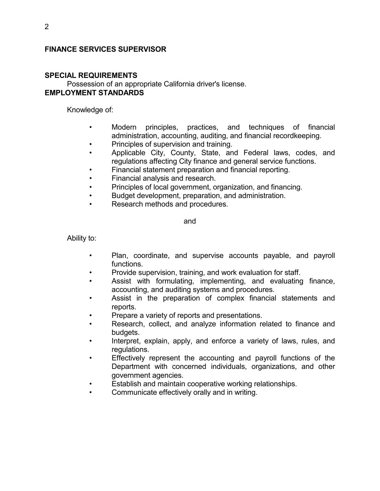# FINANCE SERVICES SUPERVISOR

## SPECIAL REQUIREMENTS

 Possession of an appropriate California driver's license. EMPLOYMENT STANDARDS

Knowledge of:

- Modern principles, practices, and techniques of financial administration, accounting, auditing, and financial recordkeeping.
- Principles of supervision and training.
- Applicable City, County, State, and Federal laws, codes, and regulations affecting City finance and general service functions.
- Financial statement preparation and financial reporting.
- Financial analysis and research.
- Principles of local government, organization, and financing.
- Budget development, preparation, and administration.
- Research methods and procedures.

and

Ability to:

- Plan, coordinate, and supervise accounts payable, and payroll functions.
- Provide supervision, training, and work evaluation for staff.
- Assist with formulating, implementing, and evaluating finance, accounting, and auditing systems and procedures.
- Assist in the preparation of complex financial statements and reports.
- Prepare a variety of reports and presentations.
- Research, collect, and analyze information related to finance and budgets.
- Interpret, explain, apply, and enforce a variety of laws, rules, and regulations.
- Effectively represent the accounting and payroll functions of the Department with concerned individuals, organizations, and other government agencies.
- Establish and maintain cooperative working relationships.
- Communicate effectively orally and in writing.